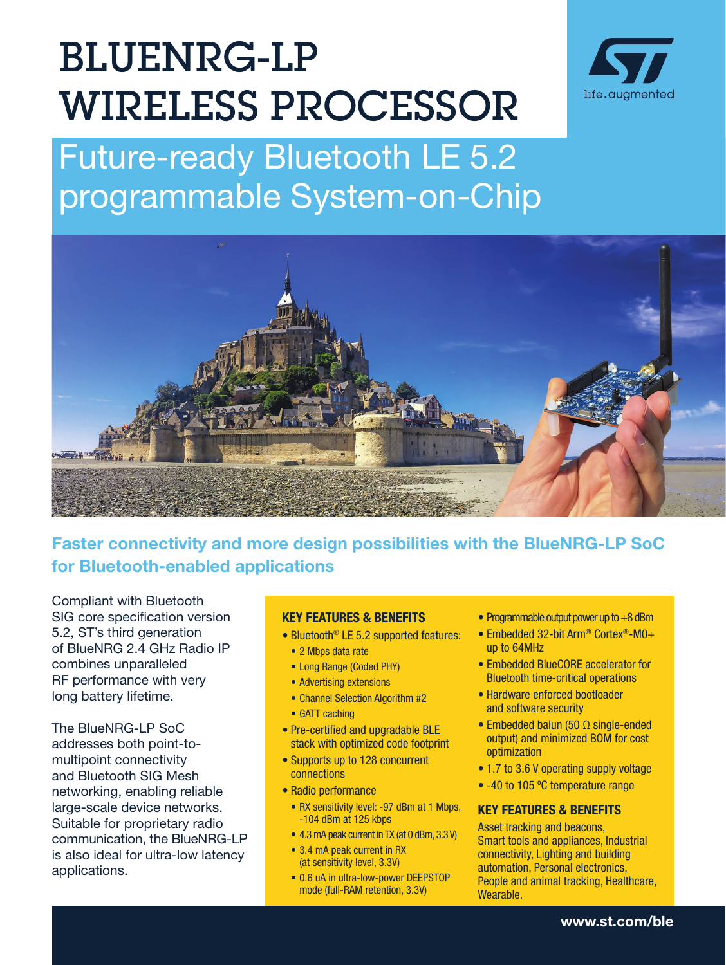# BLUENRG-LP WIRELESS PROCESSOR



# Future-ready Bluetooth LE 5.2 programmable System-on-Chip



# Faster connectivity and more design possibilities with the BlueNRG-LP SoC for Bluetooth-enabled applications

Compliant with Bluetooth SIG core specification version 5.2, ST's third generation of BlueNRG 2.4 GHz Radio IP combines unparalleled RF performance with very long battery lifetime.

The BlueNRG-LP SoC addresses both point-tomultipoint connectivity and Bluetooth SIG Mesh networking, enabling reliable large-scale device networks. Suitable for proprietary radio communication, the BlueNRG-LP is also ideal for ultra-low latency applications.

#### KEY FEATURES & BENEFITS

- Bluetooth<sup>®</sup> LE 5.2 supported features:
	- 2 Mbps data rate
	- Long Range (Coded PHY)
	- Advertising extensions
	- Channel Selection Algorithm #2
	- GATT caching
- Pre-certified and upgradable BLE stack with optimized code footprint
- Supports up to 128 concurrent connections
- Radio performance
	- RX sensitivity level: -97 dBm at 1 Mbps, -104 dBm at 125 kbps
	- 4.3 mA peak current in TX (at 0 dBm, 3.3 V)
	- 3.4 mA peak current in RX (at sensitivity level, 3.3V)
	- 0.6 uA in ultra-low-power DEEPSTOP mode (full-RAM retention, 3.3V)
- Programmable output power up to +8 dBm
- Embedded 32-bit Arm® Cortex®-M0+ up to 64MHz
- Embedded BlueCORE accelerator for Bluetooth time-critical operations
- Hardware enforced bootloader and software security
- Embedded balun (50 Ω single-ended output) and minimized BOM for cost optimization
- 1.7 to 3.6 V operating supply voltage
- -40 to 105 °C temperature range

#### KEY FEATURES & BENEFITS

Asset tracking and beacons, Smart tools and appliances, Industrial connectivity, Lighting and building automation, Personal electronics, People and animal tracking, Healthcare, Wearable.